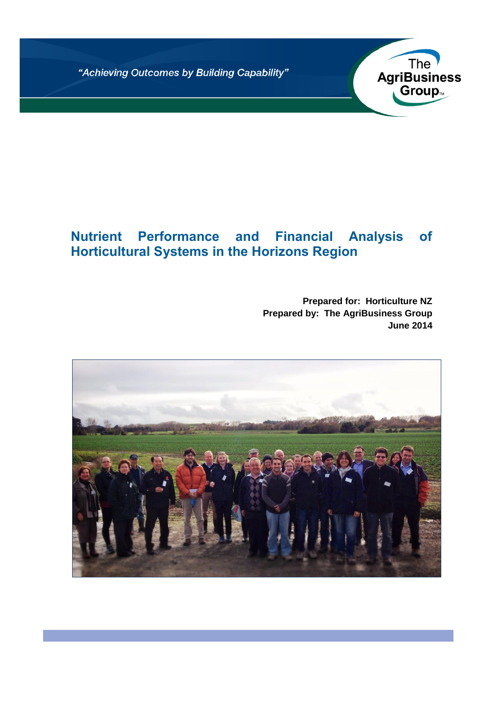"Achieving Outcomes by Building Capability"

# **Nutrient Performance and Financial Analysis of Horticultural Systems in the Horizons Region**

**Prepared for: Horticulture NZ Prepared by: The AgriBusiness Group June 2014**

The<br> **AgriBusiness** 

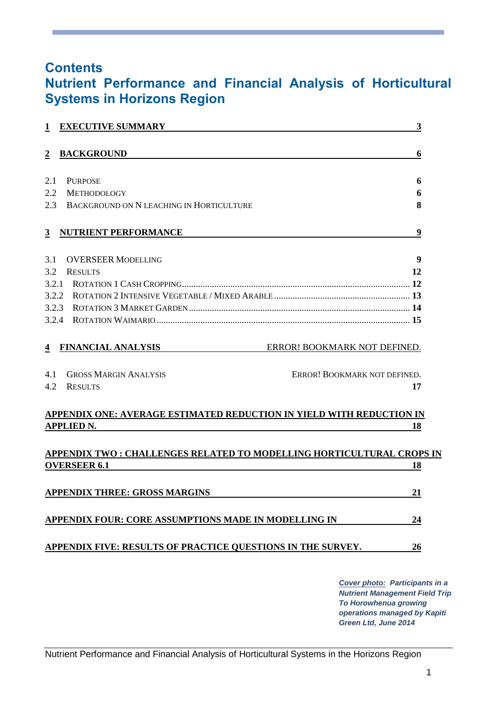# **Contents Nutrient Performance and Financial Analysis of Horticultural Systems in Horizons Region**

| <b>EXECUTIVE SUMMARY</b><br>$\mathbf{1}$                                           | $\mathbf{3}$                                                          |
|------------------------------------------------------------------------------------|-----------------------------------------------------------------------|
| $\overline{2}$<br><b>BACKGROUND</b>                                                | 6                                                                     |
|                                                                                    |                                                                       |
| 2.1<br><b>PURPOSE</b>                                                              | 6                                                                     |
| <b>METHODOLOGY</b><br>2.2                                                          | 6                                                                     |
| 2.3<br>BACKGROUND ON N LEACHING IN HORTICULTURE                                    | 8                                                                     |
| $\overline{3}$<br><b>NUTRIENT PERFORMANCE</b>                                      | $\boldsymbol{9}$                                                      |
| 3.1<br><b>OVERSEER MODELLING</b>                                                   | 9                                                                     |
| 3.2<br><b>RESULTS</b>                                                              | 12                                                                    |
|                                                                                    |                                                                       |
|                                                                                    |                                                                       |
| 3.2.3                                                                              |                                                                       |
| 3.2.4                                                                              |                                                                       |
| $\overline{4}$<br><b>FINANCIAL ANALYSIS</b><br><b>GROSS MARGIN ANALYSIS</b><br>4.1 | ERROR! BOOKMARK NOT DEFINED.<br>ERROR! BOOKMARK NOT DEFINED.          |
| 4.2<br><b>RESULTS</b>                                                              | 17                                                                    |
|                                                                                    | APPENDIX ONE: AVERAGE ESTIMATED REDUCTION IN YIELD WITH REDUCTION IN  |
| <b>APPLIED N.</b>                                                                  | 18                                                                    |
|                                                                                    | APPENDIX TWO : CHALLENGES RELATED TO MODELLING HORTICULTURAL CROPS IN |
| <b>OVERSEER 6.1</b>                                                                | 18                                                                    |
| <b>APPENDIX THREE: GROSS MARGINS</b>                                               | 21                                                                    |
|                                                                                    |                                                                       |
| APPENDIX FOUR: CORE ASSUMPTIONS MADE IN MODELLING IN                               | 24                                                                    |

*Cover photo: Participants in a Nutrient Management Field Trip To Horowhenua growing operations managed by Kapiti Green Ltd, June 2014*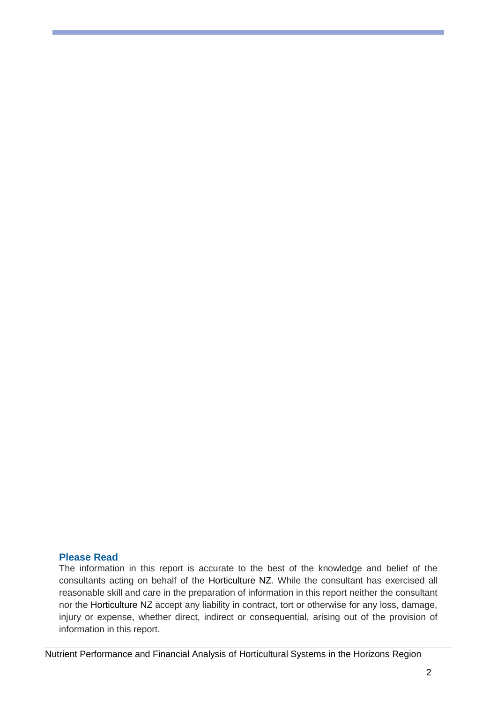## **Please Read**

The information in this report is accurate to the best of the knowledge and belief of the consultants acting on behalf of the Horticulture NZ. While the consultant has exercised all reasonable skill and care in the preparation of information in this report neither the consultant nor the Horticulture NZ accept any liability in contract, tort or otherwise for any loss, damage, injury or expense, whether direct, indirect or consequential, arising out of the provision of information in this report.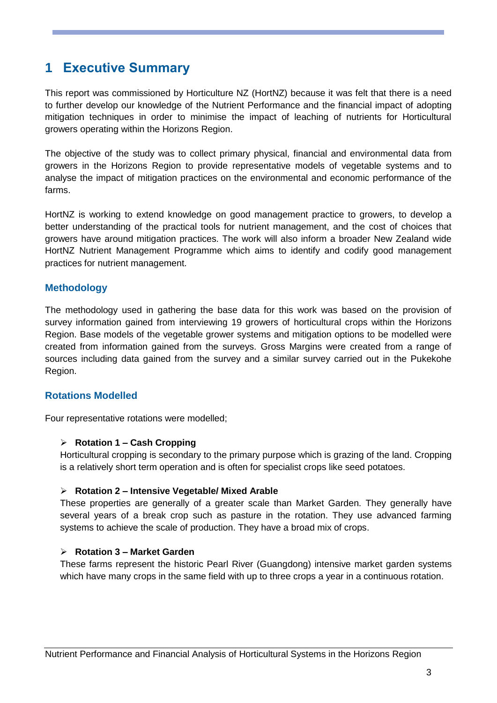# <span id="page-3-0"></span>**1 Executive Summary**

This report was commissioned by Horticulture NZ (HortNZ) because it was felt that there is a need to further develop our knowledge of the Nutrient Performance and the financial impact of adopting mitigation techniques in order to minimise the impact of leaching of nutrients for Horticultural growers operating within the Horizons Region.

The objective of the study was to collect primary physical, financial and environmental data from growers in the Horizons Region to provide representative models of vegetable systems and to analyse the impact of mitigation practices on the environmental and economic performance of the farms.

HortNZ is working to extend knowledge on good management practice to growers, to develop a better understanding of the practical tools for nutrient management, and the cost of choices that growers have around mitigation practices. The work will also inform a broader New Zealand wide HortNZ Nutrient Management Programme which aims to identify and codify good management practices for nutrient management.

## **Methodology**

The methodology used in gathering the base data for this work was based on the provision of survey information gained from interviewing 19 growers of horticultural crops within the Horizons Region. Base models of the vegetable grower systems and mitigation options to be modelled were created from information gained from the surveys. Gross Margins were created from a range of sources including data gained from the survey and a similar survey carried out in the Pukekohe Region.

## **Rotations Modelled**

Four representative rotations were modelled;

#### **Rotation 1 – Cash Cropping**

Horticultural cropping is secondary to the primary purpose which is grazing of the land. Cropping is a relatively short term operation and is often for specialist crops like seed potatoes.

#### **Rotation 2 – Intensive Vegetable/ Mixed Arable**

These properties are generally of a greater scale than Market Garden. They generally have several years of a break crop such as pasture in the rotation. They use advanced farming systems to achieve the scale of production. They have a broad mix of crops.

#### **Rotation 3 – Market Garden**

These farms represent the historic Pearl River (Guangdong) intensive market garden systems which have many crops in the same field with up to three crops a year in a continuous rotation.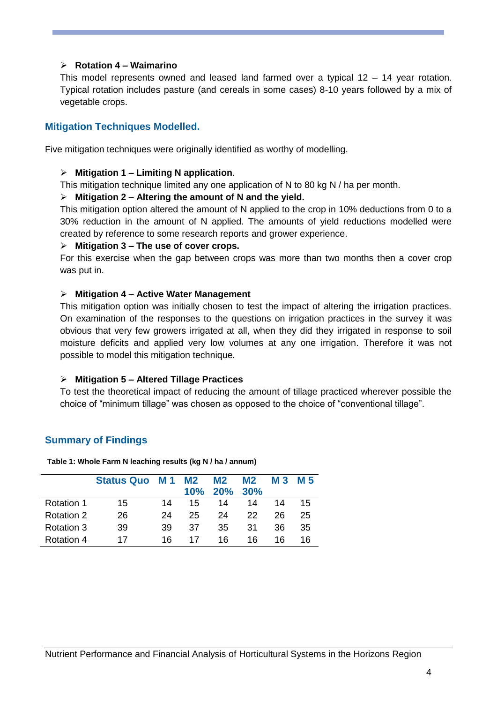## **Rotation 4 – Waimarino**

This model represents owned and leased land farmed over a typical 12 – 14 year rotation. Typical rotation includes pasture (and cereals in some cases) 8-10 years followed by a mix of vegetable crops.

## **Mitigation Techniques Modelled.**

Five mitigation techniques were originally identified as worthy of modelling.

#### **Mitigation 1 – Limiting N application**.

This mitigation technique limited any one application of N to 80 kg N / ha per month.

#### **Mitigation 2 – Altering the amount of N and the yield.**

This mitigation option altered the amount of N applied to the crop in 10% deductions from 0 to a 30% reduction in the amount of N applied. The amounts of yield reductions modelled were created by reference to some research reports and grower experience.

#### **Mitigation 3 – The use of cover crops.**

For this exercise when the gap between crops was more than two months then a cover crop was put in.

#### **Mitigation 4 – Active Water Management**

This mitigation option was initially chosen to test the impact of altering the irrigation practices. On examination of the responses to the questions on irrigation practices in the survey it was obvious that very few growers irrigated at all, when they did they irrigated in response to soil moisture deficits and applied very low volumes at any one irrigation. Therefore it was not possible to model this mitigation technique.

#### **Mitigation 5 – Altered Tillage Practices**

To test the theoretical impact of reducing the amount of tillage practiced wherever possible the choice of "minimum tillage" was chosen as opposed to the choice of "conventional tillage".

## **Summary of Findings**

**Table 1: Whole Farm N leaching results (kg N / ha / annum)**

|                   | <b>Status Quo M1</b> |    | M <sub>2</sub><br>10% | M <sub>2</sub><br>20% | M <sub>2</sub><br>30% | M 3 | M 5 |
|-------------------|----------------------|----|-----------------------|-----------------------|-----------------------|-----|-----|
| <b>Rotation 1</b> | 15                   | 14 | 15                    | 14                    | 14                    | 14  | 15  |
| Rotation 2        | 26                   | 24 | 25                    | 24                    | 22                    | 26  | 25  |
| Rotation 3        | 39                   | 39 | 37                    | 35                    | 31                    | 36  | 35  |
| <b>Rotation 4</b> | 17                   | 16 | 17                    | 16                    | 16                    | 16  | 16  |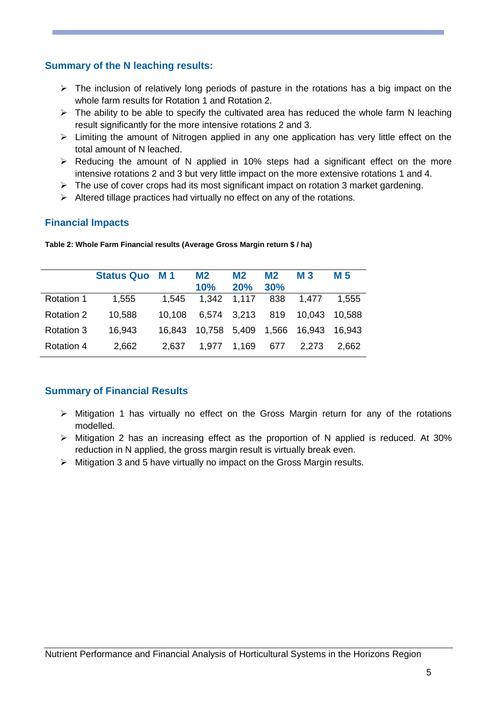## **Summary of the N leaching results:**

- $\triangleright$  The inclusion of relatively long periods of pasture in the rotations has a big impact on the whole farm results for Rotation 1 and Rotation 2.
- $\triangleright$  The ability to be able to specify the cultivated area has reduced the whole farm N leaching result significantly for the more intensive rotations 2 and 3.
- $\triangleright$  Limiting the amount of Nitrogen applied in any one application has very little effect on the total amount of N leached.
- $\triangleright$  Reducing the amount of N applied in 10% steps had a significant effect on the more intensive rotations 2 and 3 but very little impact on the more extensive rotations 1 and 4.
- $\triangleright$  The use of cover crops had its most significant impact on rotation 3 market gardening.
- $\triangleright$  Altered tillage practices had virtually no effect on any of the rotations.

## **Financial Impacts**

|                   | <b>Status Quo</b> | <b>M</b> 1 | M <sub>2</sub><br>10% | M <sub>2</sub><br>20% | <b>M2</b><br>30% | <b>M3</b> | M 5     |
|-------------------|-------------------|------------|-----------------------|-----------------------|------------------|-----------|---------|
| <b>Rotation 1</b> | 1,555             | 1,545      | 1,342                 | 1,117                 | 838              | 1,477     | 1,555   |
| Rotation 2        | 10,588            | 10.108     | 6,574 3,213           |                       | 819              | 10.043    | -10.588 |
| Rotation 3        | 16,943            | 16.843     | 10,758                | 5,409                 | 1,566            | 16,943    | 16.943  |
| Rotation 4        | 2,662             | 2,637      | 1.977                 | 1,169                 | 677              | 2.273     | 2.662   |

**Table 2: Whole Farm Financial results (Average Gross Margin return \$ / ha)**

## **Summary of Financial Results**

- $\triangleright$  Mitigation 1 has virtually no effect on the Gross Margin return for any of the rotations modelled.
- $\triangleright$  Mitigation 2 has an increasing effect as the proportion of N applied is reduced. At 30% reduction in N applied, the gross margin result is virtually break even.
- $\triangleright$  Mitigation 3 and 5 have virtually no impact on the Gross Margin results.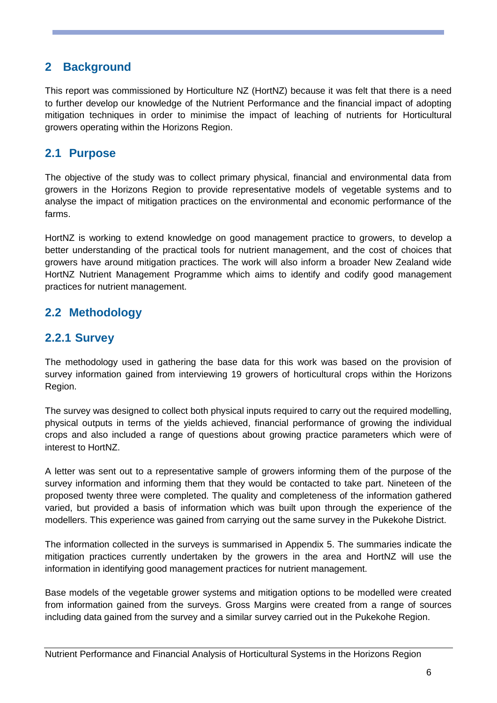## <span id="page-6-0"></span>**2 Background**

This report was commissioned by Horticulture NZ (HortNZ) because it was felt that there is a need to further develop our knowledge of the Nutrient Performance and the financial impact of adopting mitigation techniques in order to minimise the impact of leaching of nutrients for Horticultural growers operating within the Horizons Region.

## <span id="page-6-1"></span>**2.1 Purpose**

The objective of the study was to collect primary physical, financial and environmental data from growers in the Horizons Region to provide representative models of vegetable systems and to analyse the impact of mitigation practices on the environmental and economic performance of the farms.

HortNZ is working to extend knowledge on good management practice to growers, to develop a better understanding of the practical tools for nutrient management, and the cost of choices that growers have around mitigation practices. The work will also inform a broader New Zealand wide HortNZ Nutrient Management Programme which aims to identify and codify good management practices for nutrient management.

## <span id="page-6-2"></span>**2.2 Methodology**

## **2.2.1 Survey**

The methodology used in gathering the base data for this work was based on the provision of survey information gained from interviewing 19 growers of horticultural crops within the Horizons Region.

The survey was designed to collect both physical inputs required to carry out the required modelling, physical outputs in terms of the yields achieved, financial performance of growing the individual crops and also included a range of questions about growing practice parameters which were of interest to HortNZ.

A letter was sent out to a representative sample of growers informing them of the purpose of the survey information and informing them that they would be contacted to take part. Nineteen of the proposed twenty three were completed. The quality and completeness of the information gathered varied, but provided a basis of information which was built upon through the experience of the modellers. This experience was gained from carrying out the same survey in the Pukekohe District.

The information collected in the surveys is summarised in Appendix 5. The summaries indicate the mitigation practices currently undertaken by the growers in the area and HortNZ will use the information in identifying good management practices for nutrient management.

Base models of the vegetable grower systems and mitigation options to be modelled were created from information gained from the surveys. Gross Margins were created from a range of sources including data gained from the survey and a similar survey carried out in the Pukekohe Region.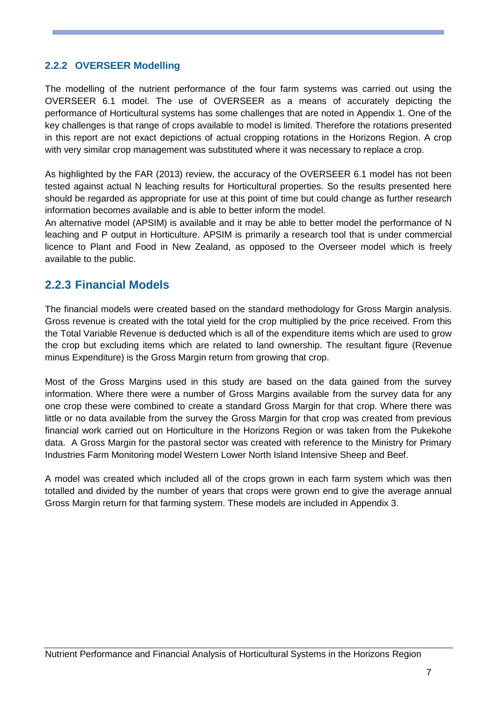## **2.2.2 OVERSEER Modelling**

The modelling of the nutrient performance of the four farm systems was carried out using the OVERSEER 6.1 model. The use of OVERSEER as a means of accurately depicting the performance of Horticultural systems has some challenges that are noted in Appendix 1. One of the key challenges is that range of crops available to model is limited. Therefore the rotations presented in this report are not exact depictions of actual cropping rotations in the Horizons Region. A crop with very similar crop management was substituted where it was necessary to replace a crop.

As highlighted by the FAR (2013) review, the accuracy of the OVERSEER 6.1 model has not been tested against actual N leaching results for Horticultural properties. So the results presented here should be regarded as appropriate for use at this point of time but could change as further research information becomes available and is able to better inform the model.

An alternative model (APSIM) is available and it may be able to better model the performance of N leaching and P output in Horticulture. APSIM is primarily a research tool that is under commercial licence to Plant and Food in New Zealand, as opposed to the Overseer model which is freely available to the public.

## **2.2.3 Financial Models**

The financial models were created based on the standard methodology for Gross Margin analysis. Gross revenue is created with the total yield for the crop multiplied by the price received. From this the Total Variable Revenue is deducted which is all of the expenditure items which are used to grow the crop but excluding items which are related to land ownership. The resultant figure (Revenue minus Expenditure) is the Gross Margin return from growing that crop.

Most of the Gross Margins used in this study are based on the data gained from the survey information. Where there were a number of Gross Margins available from the survey data for any one crop these were combined to create a standard Gross Margin for that crop. Where there was little or no data available from the survey the Gross Margin for that crop was created from previous financial work carried out on Horticulture in the Horizons Region or was taken from the Pukekohe data. A Gross Margin for the pastoral sector was created with reference to the Ministry for Primary Industries Farm Monitoring model Western Lower North Island Intensive Sheep and Beef.

A model was created which included all of the crops grown in each farm system which was then totalled and divided by the number of years that crops were grown end to give the average annual Gross Margin return for that farming system. These models are included in Appendix 3.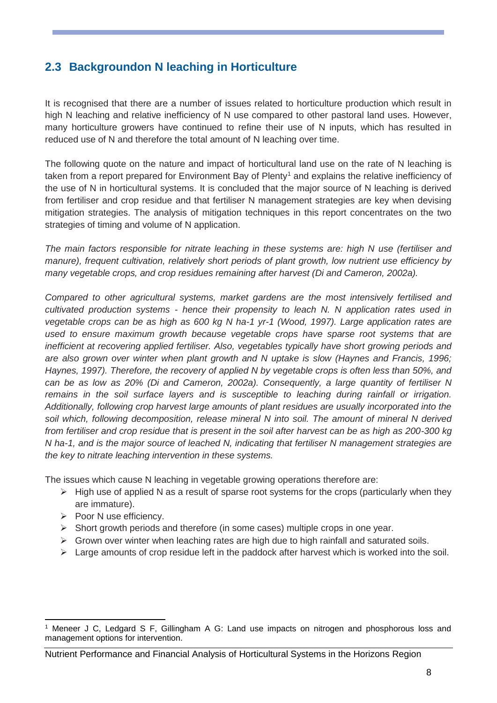## <span id="page-8-0"></span>**2.3 Backgroundon N leaching in Horticulture**

It is recognised that there are a number of issues related to horticulture production which result in high N leaching and relative inefficiency of N use compared to other pastoral land uses. However, many horticulture growers have continued to refine their use of N inputs, which has resulted in reduced use of N and therefore the total amount of N leaching over time.

The following quote on the nature and impact of horticultural land use on the rate of N leaching is taken from a report prepared for Environment Bay of Plenty<sup>1</sup> and explains the relative inefficiency of the use of N in horticultural systems. It is concluded that the major source of N leaching is derived from fertiliser and crop residue and that fertiliser N management strategies are key when devising mitigation strategies. The analysis of mitigation techniques in this report concentrates on the two strategies of timing and volume of N application.

*The main factors responsible for nitrate leaching in these systems are: high N use (fertiliser and manure), frequent cultivation, relatively short periods of plant growth, low nutrient use efficiency by many vegetable crops, and crop residues remaining after harvest (Di and Cameron, 2002a).* 

*Compared to other agricultural systems, market gardens are the most intensively fertilised and cultivated production systems - hence their propensity to leach N. N application rates used in vegetable crops can be as high as 600 kg N ha-1 yr-1 (Wood, 1997). Large application rates are used to ensure maximum growth because vegetable crops have sparse root systems that are inefficient at recovering applied fertiliser. Also, vegetables typically have short growing periods and are also grown over winter when plant growth and N uptake is slow (Haynes and Francis, 1996; Haynes, 1997). Therefore, the recovery of applied N by vegetable crops is often less than 50%, and can be as low as 20% (Di and Cameron, 2002a). Consequently, a large quantity of fertiliser N remains in the soil surface layers and is susceptible to leaching during rainfall or irrigation. Additionally, following crop harvest large amounts of plant residues are usually incorporated into the soil which, following decomposition, release mineral N into soil. The amount of mineral N derived from fertiliser and crop residue that is present in the soil after harvest can be as high as 200-300 kg N ha-1, and is the major source of leached N, indicating that fertiliser N management strategies are the key to nitrate leaching intervention in these systems.*

The issues which cause N leaching in vegetable growing operations therefore are:

- $\triangleright$  High use of applied N as a result of sparse root systems for the crops (particularly when they are immature).
- $\triangleright$  Poor N use efficiency.

-

- $\triangleright$  Short growth periods and therefore (in some cases) multiple crops in one year.
- $\triangleright$  Grown over winter when leaching rates are high due to high rainfall and saturated soils.
- $\triangleright$  Large amounts of crop residue left in the paddock after harvest which is worked into the soil.

<sup>1</sup> Meneer J C, Ledgard S F, Gillingham A G: Land use impacts on nitrogen and phosphorous loss and management options for intervention.

Nutrient Performance and Financial Analysis of Horticultural Systems in the Horizons Region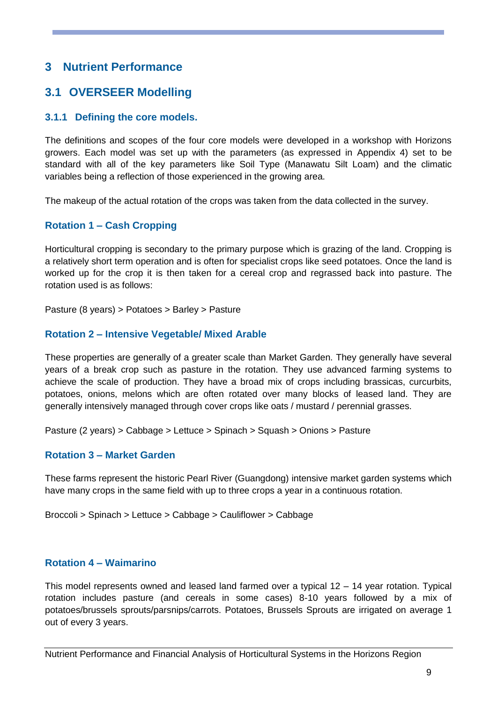## <span id="page-9-0"></span>**3 Nutrient Performance**

## <span id="page-9-1"></span>**3.1 OVERSEER Modelling**

## **3.1.1 Defining the core models.**

The definitions and scopes of the four core models were developed in a workshop with Horizons growers. Each model was set up with the parameters (as expressed in Appendix 4) set to be standard with all of the key parameters like Soil Type (Manawatu Silt Loam) and the climatic variables being a reflection of those experienced in the growing area.

The makeup of the actual rotation of the crops was taken from the data collected in the survey.

## **Rotation 1 – Cash Cropping**

Horticultural cropping is secondary to the primary purpose which is grazing of the land. Cropping is a relatively short term operation and is often for specialist crops like seed potatoes. Once the land is worked up for the crop it is then taken for a cereal crop and regrassed back into pasture. The rotation used is as follows:

Pasture (8 years) > Potatoes > Barley > Pasture

## **Rotation 2 – Intensive Vegetable/ Mixed Arable**

These properties are generally of a greater scale than Market Garden. They generally have several years of a break crop such as pasture in the rotation. They use advanced farming systems to achieve the scale of production. They have a broad mix of crops including brassicas, curcurbits, potatoes, onions, melons which are often rotated over many blocks of leased land. They are generally intensively managed through cover crops like oats / mustard / perennial grasses.

Pasture (2 years) > Cabbage > Lettuce > Spinach > Squash > Onions > Pasture

## **Rotation 3 – Market Garden**

These farms represent the historic Pearl River (Guangdong) intensive market garden systems which have many crops in the same field with up to three crops a year in a continuous rotation.

Broccoli > Spinach > Lettuce > Cabbage > Cauliflower > Cabbage

## **Rotation 4 – Waimarino**

This model represents owned and leased land farmed over a typical 12 – 14 year rotation. Typical rotation includes pasture (and cereals in some cases) 8-10 years followed by a mix of potatoes/brussels sprouts/parsnips/carrots. Potatoes, Brussels Sprouts are irrigated on average 1 out of every 3 years.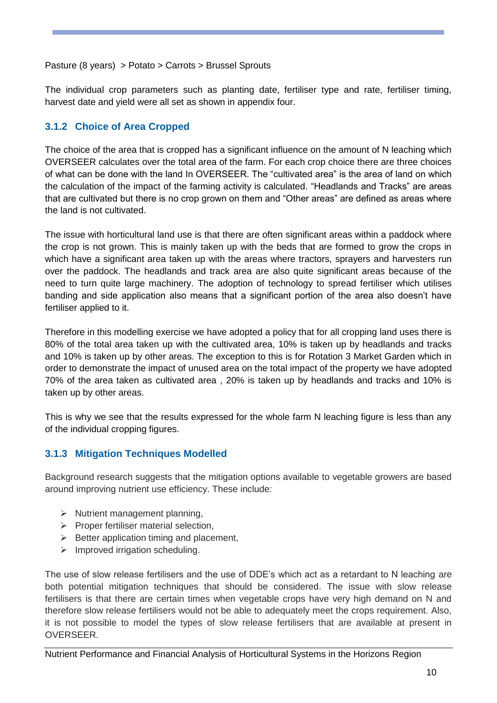### Pasture (8 years) > Potato > Carrots > Brussel Sprouts

The individual crop parameters such as planting date, fertiliser type and rate, fertiliser timing, harvest date and yield were all set as shown in appendix four.

## **3.1.2 Choice of Area Cropped**

The choice of the area that is cropped has a significant influence on the amount of N leaching which OVERSEER calculates over the total area of the farm. For each crop choice there are three choices of what can be done with the land In OVERSEER. The "cultivated area" is the area of land on which the calculation of the impact of the farming activity is calculated. "Headlands and Tracks" are areas that are cultivated but there is no crop grown on them and "Other areas" are defined as areas where the land is not cultivated.

The issue with horticultural land use is that there are often significant areas within a paddock where the crop is not grown. This is mainly taken up with the beds that are formed to grow the crops in which have a significant area taken up with the areas where tractors, sprayers and harvesters run over the paddock. The headlands and track area are also quite significant areas because of the need to turn quite large machinery. The adoption of technology to spread fertiliser which utilises banding and side application also means that a significant portion of the area also doesn't have fertiliser applied to it.

Therefore in this modelling exercise we have adopted a policy that for all cropping land uses there is 80% of the total area taken up with the cultivated area, 10% is taken up by headlands and tracks and 10% is taken up by other areas. The exception to this is for Rotation 3 Market Garden which in order to demonstrate the impact of unused area on the total impact of the property we have adopted 70% of the area taken as cultivated area , 20% is taken up by headlands and tracks and 10% is taken up by other areas.

This is why we see that the results expressed for the whole farm N leaching figure is less than any of the individual cropping figures.

## **3.1.3 Mitigation Techniques Modelled**

Background research suggests that the mitigation options available to vegetable growers are based around improving nutrient use efficiency. These include:

- $\triangleright$  Nutrient management planning,
- $\triangleright$  Proper fertiliser material selection,
- $\triangleright$  Better application timing and placement,
- $\triangleright$  Improved irrigation scheduling.

The use of slow release fertilisers and the use of DDE's which act as a retardant to N leaching are both potential mitigation techniques that should be considered. The issue with slow release fertilisers is that there are certain times when vegetable crops have very high demand on N and therefore slow release fertilisers would not be able to adequately meet the crops requirement. Also, it is not possible to model the types of slow release fertilisers that are available at present in OVERSEER.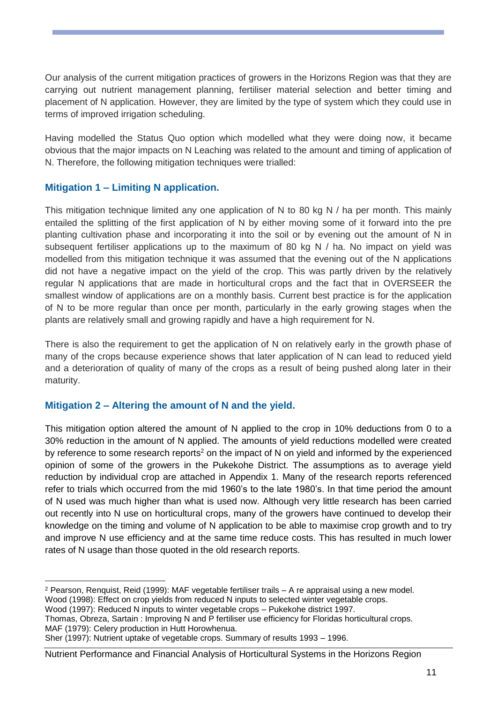Our analysis of the current mitigation practices of growers in the Horizons Region was that they are carrying out nutrient management planning, fertiliser material selection and better timing and placement of N application. However, they are limited by the type of system which they could use in terms of improved irrigation scheduling.

Having modelled the Status Quo option which modelled what they were doing now, it became obvious that the major impacts on N Leaching was related to the amount and timing of application of N. Therefore, the following mitigation techniques were trialled:

## **Mitigation 1 – Limiting N application.**

This mitigation technique limited any one application of N to 80 kg N / ha per month. This mainly entailed the splitting of the first application of N by either moving some of it forward into the pre planting cultivation phase and incorporating it into the soil or by evening out the amount of N in subsequent fertiliser applications up to the maximum of 80 kg N / ha. No impact on yield was modelled from this mitigation technique it was assumed that the evening out of the N applications did not have a negative impact on the yield of the crop. This was partly driven by the relatively regular N applications that are made in horticultural crops and the fact that in OVERSEER the smallest window of applications are on a monthly basis. Current best practice is for the application of N to be more regular than once per month, particularly in the early growing stages when the plants are relatively small and growing rapidly and have a high requirement for N.

There is also the requirement to get the application of N on relatively early in the growth phase of many of the crops because experience shows that later application of N can lead to reduced yield and a deterioration of quality of many of the crops as a result of being pushed along later in their maturity.

## **Mitigation 2 – Altering the amount of N and the yield.**

-

This mitigation option altered the amount of N applied to the crop in 10% deductions from 0 to a 30% reduction in the amount of N applied. The amounts of yield reductions modelled were created by reference to some research reports<sup>2</sup> on the impact of N on yield and informed by the experienced opinion of some of the growers in the Pukekohe District. The assumptions as to average yield reduction by individual crop are attached in Appendix 1. Many of the research reports referenced refer to trials which occurred from the mid 1960's to the late 1980's. In that time period the amount of N used was much higher than what is used now. Although very little research has been carried out recently into N use on horticultural crops, many of the growers have continued to develop their knowledge on the timing and volume of N application to be able to maximise crop growth and to try and improve N use efficiency and at the same time reduce costs. This has resulted in much lower rates of N usage than those quoted in the old research reports.

Wood (1998): Effect on crop yields from reduced N inputs to selected winter vegetable crops.

Wood (1997): Reduced N inputs to winter vegetable crops – Pukekohe district 1997.

Thomas, Obreza, Sartain : Improving N and P fertiliser use efficiency for Floridas horticultural crops. MAF (1979): Celery production in Hutt Horowhenua.

<sup>2</sup> Pearson, Renquist, Reid (1999): MAF vegetable fertiliser trails – A re appraisal using a new model.

Sher (1997): Nutrient uptake of vegetable crops. Summary of results 1993 – 1996.

Nutrient Performance and Financial Analysis of Horticultural Systems in the Horizons Region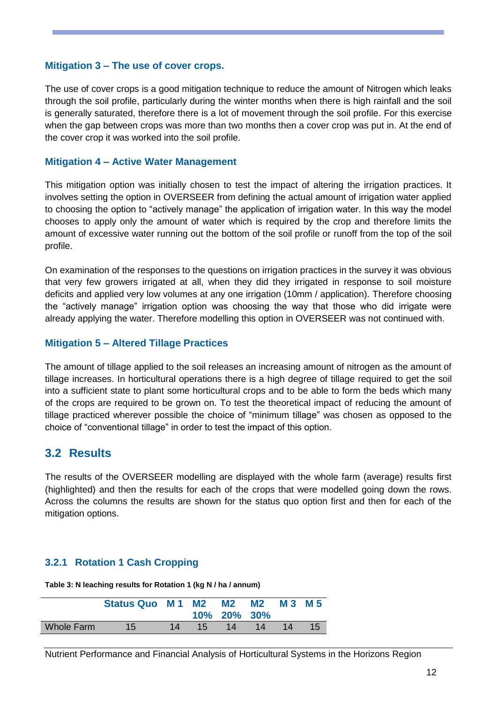### **Mitigation 3 – The use of cover crops.**

The use of cover crops is a good mitigation technique to reduce the amount of Nitrogen which leaks through the soil profile, particularly during the winter months when there is high rainfall and the soil is generally saturated, therefore there is a lot of movement through the soil profile. For this exercise when the gap between crops was more than two months then a cover crop was put in. At the end of the cover crop it was worked into the soil profile.

### **Mitigation 4 – Active Water Management**

This mitigation option was initially chosen to test the impact of altering the irrigation practices. It involves setting the option in OVERSEER from defining the actual amount of irrigation water applied to choosing the option to "actively manage" the application of irrigation water. In this way the model chooses to apply only the amount of water which is required by the crop and therefore limits the amount of excessive water running out the bottom of the soil profile or runoff from the top of the soil profile.

On examination of the responses to the questions on irrigation practices in the survey it was obvious that very few growers irrigated at all, when they did they irrigated in response to soil moisture deficits and applied very low volumes at any one irrigation (10mm / application). Therefore choosing the "actively manage" irrigation option was choosing the way that those who did irrigate were already applying the water. Therefore modelling this option in OVERSEER was not continued with.

## **Mitigation 5 – Altered Tillage Practices**

The amount of tillage applied to the soil releases an increasing amount of nitrogen as the amount of tillage increases. In horticultural operations there is a high degree of tillage required to get the soil into a sufficient state to plant some horticultural crops and to be able to form the beds which many of the crops are required to be grown on. To test the theoretical impact of reducing the amount of tillage practiced wherever possible the choice of "minimum tillage" was chosen as opposed to the choice of "conventional tillage" in order to test the impact of this option.

## <span id="page-12-0"></span>**3.2 Results**

The results of the OVERSEER modelling are displayed with the whole farm (average) results first (highlighted) and then the results for each of the crops that were modelled going down the rows. Across the columns the results are shown for the status quo option first and then for each of the mitigation options.

## <span id="page-12-1"></span>**3.2.1 Rotation 1 Cash Cropping**

**Table 3: N leaching results for Rotation 1 (kg N / ha / annum)**

|            | Status Quo M 1 M 2 M 2 |    |                 | 10% 20% 30%     | <b>M2</b> | M 3 M 5 |    |
|------------|------------------------|----|-----------------|-----------------|-----------|---------|----|
| Whole Farm | $15^{\circ}$           | 14 | 15 <sup>1</sup> | 14 <sub>1</sub> | 14        | 14      | 15 |

Nutrient Performance and Financial Analysis of Horticultural Systems in the Horizons Region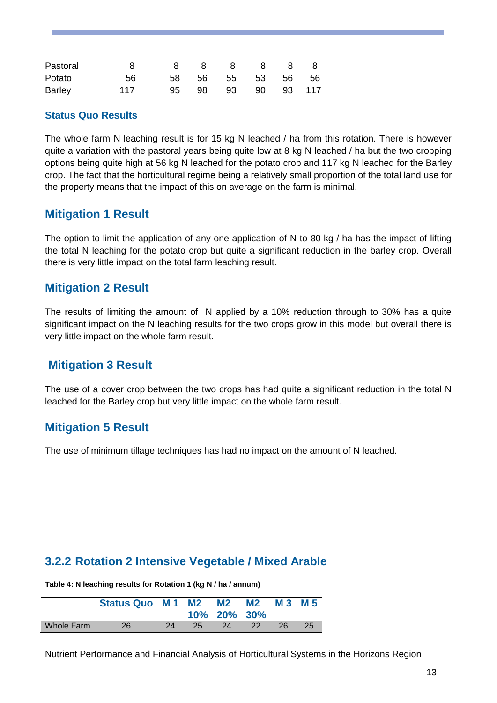| Pastoral | 8   |    | 8 <sup>8</sup> |           | 8 |  |
|----------|-----|----|----------------|-----------|---|--|
| Potato   | 56  | 58 | 56 55 53 56 56 |           |   |  |
| Barley   | 117 | 95 | 98 93          | 90 93 117 |   |  |

### **Status Quo Results**

The whole farm N leaching result is for 15 kg N leached / ha from this rotation. There is however quite a variation with the pastoral years being quite low at 8 kg N leached / ha but the two cropping options being quite high at 56 kg N leached for the potato crop and 117 kg N leached for the Barley crop. The fact that the horticultural regime being a relatively small proportion of the total land use for the property means that the impact of this on average on the farm is minimal.

## **Mitigation 1 Result**

The option to limit the application of any one application of N to 80 kg / ha has the impact of lifting the total N leaching for the potato crop but quite a significant reduction in the barley crop. Overall there is very little impact on the total farm leaching result.

## **Mitigation 2 Result**

The results of limiting the amount of N applied by a 10% reduction through to 30% has a quite significant impact on the N leaching results for the two crops grow in this model but overall there is very little impact on the whole farm result.

## **Mitigation 3 Result**

The use of a cover crop between the two crops has had quite a significant reduction in the total N leached for the Barley crop but very little impact on the whole farm result.

## **Mitigation 5 Result**

The use of minimum tillage techniques has had no impact on the amount of N leached.

## <span id="page-13-0"></span>**3.2.2 Rotation 2 Intensive Vegetable / Mixed Arable**

**Table 4: N leaching results for Rotation 1 (kg N / ha / annum)**

|            | Status Quo M 1 M2 |    |    | <b>M2</b><br>10% 20% 30% | <b>M2</b> | M 3 | M 5 |
|------------|-------------------|----|----|--------------------------|-----------|-----|-----|
| Whole Farm | 26                | 24 | 25 | 24                       | 22        | 26  | 25  |

Nutrient Performance and Financial Analysis of Horticultural Systems in the Horizons Region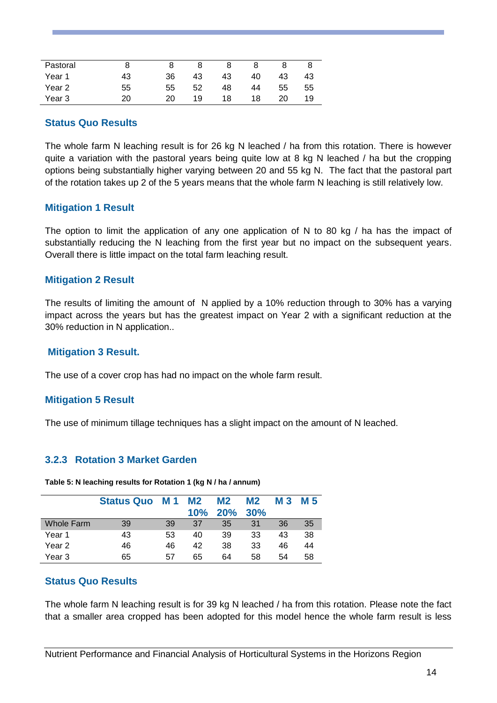| Pastoral |    |    |    |    |    |    |    |
|----------|----|----|----|----|----|----|----|
| Year 1   | 43 | 36 | 43 | 43 | 40 | 43 | 43 |
| Year 2   | 55 | 55 | 52 | 48 | 44 | 55 | 55 |
| Year 3   | 20 | 20 | 19 | 18 | 18 | 20 | 19 |

#### **Status Quo Results**

The whole farm N leaching result is for 26 kg N leached / ha from this rotation. There is however quite a variation with the pastoral years being quite low at 8 kg N leached / ha but the cropping options being substantially higher varying between 20 and 55 kg N. The fact that the pastoral part of the rotation takes up 2 of the 5 years means that the whole farm N leaching is still relatively low.

## **Mitigation 1 Result**

The option to limit the application of any one application of N to 80 kg / ha has the impact of substantially reducing the N leaching from the first year but no impact on the subsequent years. Overall there is little impact on the total farm leaching result.

#### **Mitigation 2 Result**

The results of limiting the amount of N applied by a 10% reduction through to 30% has a varying impact across the years but has the greatest impact on Year 2 with a significant reduction at the 30% reduction in N application..

#### **Mitigation 3 Result.**

The use of a cover crop has had no impact on the whole farm result.

#### **Mitigation 5 Result**

The use of minimum tillage techniques has a slight impact on the amount of N leached.

## <span id="page-14-0"></span>**3.2.3 Rotation 3 Market Garden**

**Table 5: N leaching results for Rotation 1 (kg N / ha / annum)**

|                   | <b>Status Quo</b> | <b>M1</b> | M <sub>2</sub><br>10% | M <sub>2</sub><br>20% | M <sub>2</sub><br>30% | <b>M3</b> | M 5 |
|-------------------|-------------------|-----------|-----------------------|-----------------------|-----------------------|-----------|-----|
| Whole Farm        | 39                | 39        | 37                    | 35                    | 31                    | 36        | 35  |
| Year 1            | 43                | 53        | 40                    | 39                    | 33                    | 43        | 38  |
| Year <sub>2</sub> | 46                | 46        | 42                    | 38                    | 33                    | 46        | 44  |
| Year 3            | 65                | 57        | 65                    | 64                    | 58                    | 54        | 58  |

## **Status Quo Results**

The whole farm N leaching result is for 39 kg N leached / ha from this rotation. Please note the fact that a smaller area cropped has been adopted for this model hence the whole farm result is less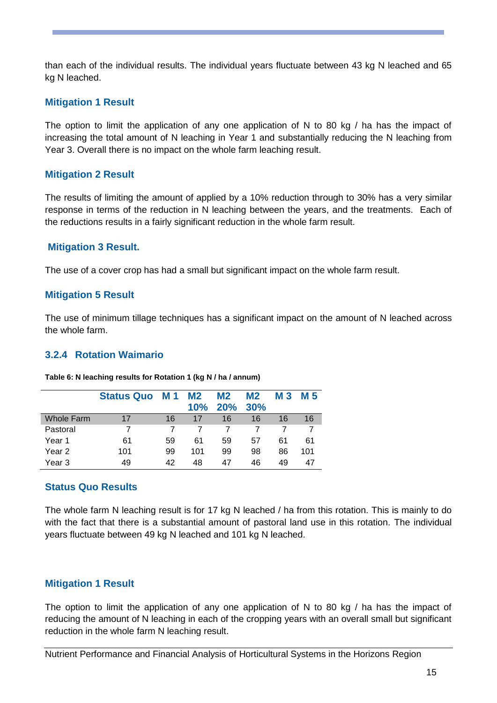than each of the individual results. The individual years fluctuate between 43 kg N leached and 65 kg N leached.

## **Mitigation 1 Result**

The option to limit the application of any one application of N to 80 kg / ha has the impact of increasing the total amount of N leaching in Year 1 and substantially reducing the N leaching from Year 3. Overall there is no impact on the whole farm leaching result.

## **Mitigation 2 Result**

The results of limiting the amount of applied by a 10% reduction through to 30% has a very similar response in terms of the reduction in N leaching between the years, and the treatments. Each of the reductions results in a fairly significant reduction in the whole farm result.

## **Mitigation 3 Result.**

The use of a cover crop has had a small but significant impact on the whole farm result.

## **Mitigation 5 Result**

The use of minimum tillage techniques has a significant impact on the amount of N leached across the whole farm.

## <span id="page-15-0"></span>**3.2.4 Rotation Waimario**

|                   | <b>Status Quo</b> | <b>M1</b> | M <sub>2</sub><br>10% | M <sub>2</sub><br>20% | M2<br>30% | <b>M3</b> | M 5 |
|-------------------|-------------------|-----------|-----------------------|-----------------------|-----------|-----------|-----|
| <b>Whole Farm</b> | 17                | 16        | 17                    | 16                    | 16        | 16        | 16  |
| Pastoral          |                   |           |                       |                       |           |           |     |
| Year 1            | 61                | 59        | 61                    | 59                    | 57        | 61        | 61  |
| Year 2            | 101               | 99        | 101                   | 99                    | 98        | 86        | 101 |
| Year 3            | 49                | 42        | 48                    | 47                    | 46        | 49        | 47  |

#### **Table 6: N leaching results for Rotation 1 (kg N / ha / annum)**

## **Status Quo Results**

The whole farm N leaching result is for 17 kg N leached / ha from this rotation. This is mainly to do with the fact that there is a substantial amount of pastoral land use in this rotation. The individual years fluctuate between 49 kg N leached and 101 kg N leached.

## **Mitigation 1 Result**

The option to limit the application of any one application of N to 80 kg / ha has the impact of reducing the amount of N leaching in each of the cropping years with an overall small but significant reduction in the whole farm N leaching result.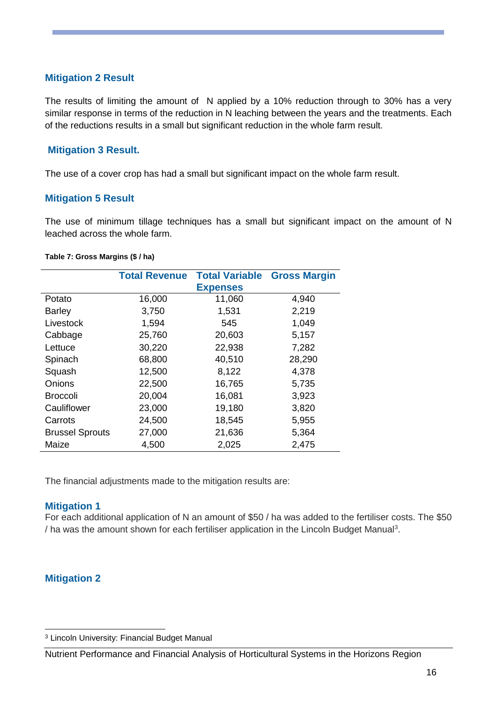## **Mitigation 2 Result**

The results of limiting the amount of N applied by a 10% reduction through to 30% has a very similar response in terms of the reduction in N leaching between the years and the treatments. Each of the reductions results in a small but significant reduction in the whole farm result.

### **Mitigation 3 Result.**

The use of a cover crop has had a small but significant impact on the whole farm result.

### **Mitigation 5 Result**

The use of minimum tillage techniques has a small but significant impact on the amount of N leached across the whole farm.

#### **Table 7: Gross Margins (\$ / ha)**

|                        | <b>Total Revenue</b> | <b>Total Variable Gross Margin</b> |        |
|------------------------|----------------------|------------------------------------|--------|
|                        |                      | <b>Expenses</b>                    |        |
| Potato                 | 16,000               | 11,060                             | 4,940  |
| <b>Barley</b>          | 3,750                | 1,531                              | 2,219  |
| Livestock              | 1,594                | 545                                | 1,049  |
| Cabbage                | 25,760               | 20,603                             | 5,157  |
| Lettuce                | 30,220               | 22,938                             | 7,282  |
| Spinach                | 68,800               | 40,510                             | 28,290 |
| Squash                 | 12,500               | 8,122                              | 4,378  |
| Onions                 | 22,500               | 16,765                             | 5,735  |
| <b>Broccoli</b>        | 20,004               | 16,081                             | 3,923  |
| Cauliflower            | 23,000               | 19,180                             | 3,820  |
| Carrots                | 24,500               | 18,545                             | 5,955  |
| <b>Brussel Sprouts</b> | 27,000               | 21,636                             | 5,364  |
| Maize                  | 4,500                | 2,025                              | 2,475  |

The financial adjustments made to the mitigation results are:

#### **Mitigation 1**

For each additional application of N an amount of \$50 / ha was added to the fertiliser costs. The \$50 / ha was the amount shown for each fertiliser application in the Lincoln Budget Manual<sup>3</sup>.

## **Mitigation 2**

-

<sup>3</sup> Lincoln University: Financial Budget Manual

Nutrient Performance and Financial Analysis of Horticultural Systems in the Horizons Region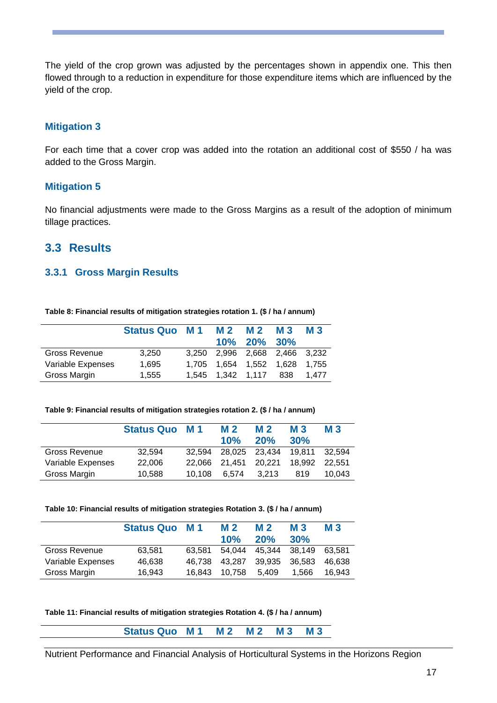The yield of the crop grown was adjusted by the percentages shown in appendix one. This then flowed through to a reduction in expenditure for those expenditure items which are influenced by the yield of the crop.

## **Mitigation 3**

For each time that a cover crop was added into the rotation an additional cost of \$550 / ha was added to the Gross Margin.

## **Mitigation 5**

No financial adjustments were made to the Gross Margins as a result of the adoption of minimum tillage practices.

## <span id="page-17-0"></span>**3.3 Results**

## **3.3.1 Gross Margin Results**

**Table 8: Financial results of mitigation strategies rotation 1. (\$ / ha / annum)**

|                   | Status Quo M1 M2 |       |             | M 2<br>10% 20% 30%         | <b>M3</b> | <b>M3</b> |
|-------------------|------------------|-------|-------------|----------------------------|-----------|-----------|
| Gross Revenue     | 3,250            | 3.250 |             | 2,996 2,668 2,466 3,232    |           |           |
| Variable Expenses | 1,695            | 1.705 |             | 1.654  1.552  1.628  1.755 |           |           |
| Gross Margin      | 1,555            | 1.545 | 1.342 1.117 |                            | 838       | 1.477     |

#### **Table 9: Financial results of mitigation strategies rotation 2. (\$ / ha / annum)**

|                   | <b>Status Quo M1</b> |        | <b>M2</b><br>10% | <b>M2</b><br>20% | <b>M3</b><br>30% | <b>M3</b> |
|-------------------|----------------------|--------|------------------|------------------|------------------|-----------|
| Gross Revenue     | 32,594               | 32.594 |                  | 28,025 23,434    | 19.811           | 32.594    |
| Variable Expenses | 22,006               | 22.066 | 21.451           | 20.221           | 18.992           | 22.551    |
| Gross Margin      | 10.588               | 10.108 | 6.574            | 3.213            | 819              | 10.043    |

#### **Table 10: Financial results of mitigation strategies Rotation 3. (\$ / ha / annum)**

|                   | <b>Status Quo</b> | M 1    | M <sub>2</sub><br>10% | M 2<br>20% | <b>M3</b><br>30% | <b>M3</b> |
|-------------------|-------------------|--------|-----------------------|------------|------------------|-----------|
| Gross Revenue     | 63.581            | 63.581 | 54.044                | 45.344     | 38.149           | 63.581    |
| Variable Expenses | 46,638            | 46.738 | 43.287                | 39.935     | 36.583           | 46.638    |
| Gross Margin      | 16.943            | 16.843 | 10.758                | 5.409      | 1.566            | 16.943    |

#### **Table 11: Financial results of mitigation strategies Rotation 4. (\$ / ha / annum)**

**Status Quo M 1 M 2 M 2 M 3 M 3**

Nutrient Performance and Financial Analysis of Horticultural Systems in the Horizons Region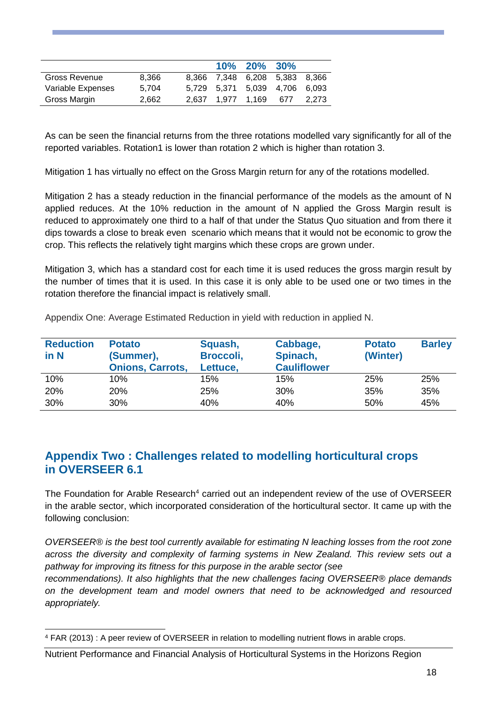|                   |       |  | 10% 20% 30%                   |       |
|-------------------|-------|--|-------------------------------|-------|
| Gross Revenue     | 8.366 |  | 8,366 7,348 6,208 5,383 8,366 |       |
| Variable Expenses | 5.704 |  | 5.729 5.371 5.039 4.706 6.093 |       |
| Gross Margin      | 2.662 |  | 2.637 1.977 1.169 677         | 2.273 |

As can be seen the financial returns from the three rotations modelled vary significantly for all of the reported variables. Rotation1 is lower than rotation 2 which is higher than rotation 3.

Mitigation 1 has virtually no effect on the Gross Margin return for any of the rotations modelled.

Mitigation 2 has a steady reduction in the financial performance of the models as the amount of N applied reduces. At the 10% reduction in the amount of N applied the Gross Margin result is reduced to approximately one third to a half of that under the Status Quo situation and from there it dips towards a close to break even scenario which means that it would not be economic to grow the crop. This reflects the relatively tight margins which these crops are grown under.

Mitigation 3, which has a standard cost for each time it is used reduces the gross margin result by the number of times that it is used. In this case it is only able to be used one or two times in the rotation therefore the financial impact is relatively small.

| <b>Reduction</b><br>in N | <b>Potato</b><br>(Summer),<br><b>Onions, Carrots,</b> | Squash,<br>Broccoli,<br>Lettuce, | Cabbage,<br>Spinach,<br><b>Cauliflower</b> | <b>Potato</b><br>(Winter) | <b>Barley</b> |
|--------------------------|-------------------------------------------------------|----------------------------------|--------------------------------------------|---------------------------|---------------|
| 10%                      | 10%                                                   | 15%                              | 15%                                        | 25%                       | 25%           |
| 20%                      | 20%                                                   | 25%                              | 30%                                        | 35%                       | 35%           |
| 30%                      | 30%                                                   | 40%                              | 40%                                        | 50%                       | 45%           |

<span id="page-18-0"></span>Appendix One: Average Estimated Reduction in yield with reduction in applied N.

## <span id="page-18-2"></span><span id="page-18-1"></span>**Appendix Two : Challenges related to modelling horticultural crops in OVERSEER 6.1**

The Foundation for Arable Research<sup>4</sup> carried out an independent review of the use of OVERSEER in the arable sector, which incorporated consideration of the horticultural sector. It came up with the following conclusion:

*OVERSEER® is the best tool currently available for estimating N leaching losses from the root zone across the diversity and complexity of farming systems in New Zealand. This review sets out a pathway for improving its fitness for this purpose in the arable sector (see*

*recommendations). It also highlights that the new challenges facing OVERSEER® place demands on the development team and model owners that need to be acknowledged and resourced appropriately.*

-

<sup>4</sup> FAR (2013) : A peer review of OVERSEER in relation to modelling nutrient flows in arable crops.

Nutrient Performance and Financial Analysis of Horticultural Systems in the Horizons Region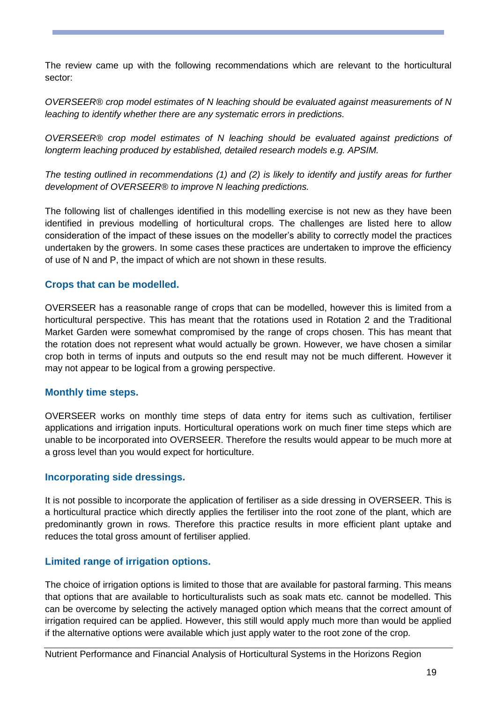The review came up with the following recommendations which are relevant to the horticultural sector:

*OVERSEER® crop model estimates of N leaching should be evaluated against measurements of N leaching to identify whether there are any systematic errors in predictions.*

*OVERSEER® crop model estimates of N leaching should be evaluated against predictions of longterm leaching produced by established, detailed research models e.g. APSIM.*

*The testing outlined in recommendations (1) and (2) is likely to identify and justify areas for further development of OVERSEER® to improve N leaching predictions.*

The following list of challenges identified in this modelling exercise is not new as they have been identified in previous modelling of horticultural crops. The challenges are listed here to allow consideration of the impact of these issues on the modeller's ability to correctly model the practices undertaken by the growers. In some cases these practices are undertaken to improve the efficiency of use of N and P, the impact of which are not shown in these results.

## **Crops that can be modelled.**

OVERSEER has a reasonable range of crops that can be modelled, however this is limited from a horticultural perspective. This has meant that the rotations used in Rotation 2 and the Traditional Market Garden were somewhat compromised by the range of crops chosen. This has meant that the rotation does not represent what would actually be grown. However, we have chosen a similar crop both in terms of inputs and outputs so the end result may not be much different. However it may not appear to be logical from a growing perspective.

## **Monthly time steps.**

OVERSEER works on monthly time steps of data entry for items such as cultivation, fertiliser applications and irrigation inputs. Horticultural operations work on much finer time steps which are unable to be incorporated into OVERSEER. Therefore the results would appear to be much more at a gross level than you would expect for horticulture.

## **Incorporating side dressings.**

It is not possible to incorporate the application of fertiliser as a side dressing in OVERSEER. This is a horticultural practice which directly applies the fertiliser into the root zone of the plant, which are predominantly grown in rows. Therefore this practice results in more efficient plant uptake and reduces the total gross amount of fertiliser applied.

## **Limited range of irrigation options.**

The choice of irrigation options is limited to those that are available for pastoral farming. This means that options that are available to horticulturalists such as soak mats etc. cannot be modelled. This can be overcome by selecting the actively managed option which means that the correct amount of irrigation required can be applied. However, this still would apply much more than would be applied if the alternative options were available which just apply water to the root zone of the crop.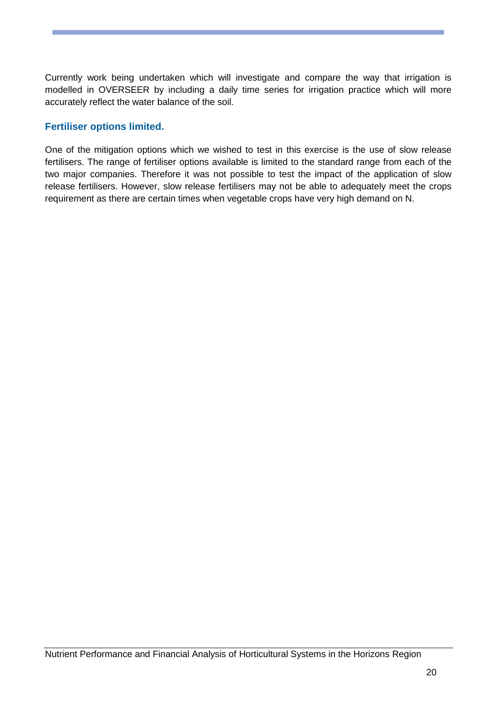Currently work being undertaken which will investigate and compare the way that irrigation is modelled in OVERSEER by including a daily time series for irrigation practice which will more accurately reflect the water balance of the soil.

## **Fertiliser options limited.**

One of the mitigation options which we wished to test in this exercise is the use of slow release fertilisers. The range of fertiliser options available is limited to the standard range from each of the two major companies. Therefore it was not possible to test the impact of the application of slow release fertilisers. However, slow release fertilisers may not be able to adequately meet the crops requirement as there are certain times when vegetable crops have very high demand on N.

Nutrient Performance and Financial Analysis of Horticultural Systems in the Horizons Region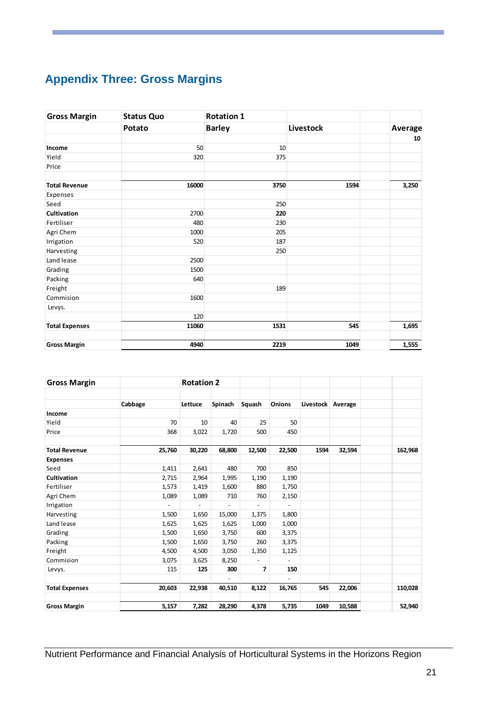# <span id="page-21-0"></span>**Appendix Three: Gross Margins**

| <b>Gross Margin</b>   | <b>Status Quo</b> | <b>Rotation 1</b> |           |         |
|-----------------------|-------------------|-------------------|-----------|---------|
|                       | Potato            | <b>Barley</b>     | Livestock | Average |
|                       |                   |                   |           | 10      |
| Income                | 50                | 10                |           |         |
| Yield                 | 320               | 375               |           |         |
| Price                 |                   |                   |           |         |
| <b>Total Revenue</b>  | 16000             | 3750              | 1594      | 3,250   |
| Expenses              |                   |                   |           |         |
| Seed                  |                   | 250               |           |         |
| Cultivation           | 2700              | 220               |           |         |
| Fertiliser            | 480               | 230               |           |         |
| Agri Chem             | 1000              | 205               |           |         |
| Irrigation            | 520               | 187               |           |         |
| Harvesting            |                   | 250               |           |         |
| Land lease            | 2500              |                   |           |         |
| Grading               | 1500              |                   |           |         |
| Packing               | 640               |                   |           |         |
| Freight               |                   | 189               |           |         |
| Commision             | 1600              |                   |           |         |
| Levys.                |                   |                   |           |         |
|                       | 120               |                   |           |         |
| <b>Total Expenses</b> | 11060             | 1531              | 545       | 1,695   |
| <b>Gross Margin</b>   | 4940              | 2219              | 1049      | 1,555   |

| <b>Gross Margin</b>   |         | <b>Rotation 2</b> |                          |                              |                          |           |         |         |
|-----------------------|---------|-------------------|--------------------------|------------------------------|--------------------------|-----------|---------|---------|
|                       | Cabbage | Lettuce           | Spinach                  | Squash                       | Onions                   | Livestock | Average |         |
| Income                |         |                   |                          |                              |                          |           |         |         |
| Yield                 | 70      | 10                | 40                       | 25                           | 50                       |           |         |         |
| Price                 | 368     | 3,022             | 1,720                    | 500                          | 450                      |           |         |         |
| <b>Total Revenue</b>  | 25,760  | 30,220            | 68,800                   | 12,500                       | 22,500                   | 1594      | 32,594  | 162,968 |
| <b>Expenses</b>       |         |                   |                          |                              |                          |           |         |         |
| Seed                  | 1,411   | 2,641             | 480                      | 700                          | 850                      |           |         |         |
| <b>Cultivation</b>    | 2,715   | 2,964             | 1,995                    | 1,190                        | 1,190                    |           |         |         |
| Fertiliser            | 1,573   | 1,419             | 1,600                    | 880                          | 1,750                    |           |         |         |
| Agri Chem             | 1,089   | 1,089             | 710                      | 760                          | 2,150                    |           |         |         |
| Irrigation            |         |                   |                          |                              |                          |           |         |         |
| Harvesting            | 1,500   | 1,650             | 15,000                   | 1,375                        | 1,800                    |           |         |         |
| Land lease            | 1,625   | 1,625             | 1,625                    | 1,000                        | 1,000                    |           |         |         |
| Grading               | 1,500   | 1,650             | 3,750                    | 600                          | 3,375                    |           |         |         |
| Packing               | 1,500   | 1,650             | 3,750                    | 260                          | 3,375                    |           |         |         |
| Freight               | 4,500   | 4,500             | 3,050                    | 1,350                        | 1,125                    |           |         |         |
| Commision             | 3,075   | 3,625             | 8,250                    | $\qquad \qquad \blacksquare$ | $\overline{\phantom{a}}$ |           |         |         |
| Levys.                | 115     | 125               | 300                      | 7                            | 150                      |           |         |         |
| <b>Total Expenses</b> | 20,603  | 22,938            | $\overline{a}$<br>40,510 | 8,122                        | $\overline{a}$<br>16,765 | 545       | 22,006  | 110,028 |
| <b>Gross Margin</b>   | 5,157   | 7,282             | 28,290                   | 4,378                        | 5,735                    | 1049      | 10,588  | 52,940  |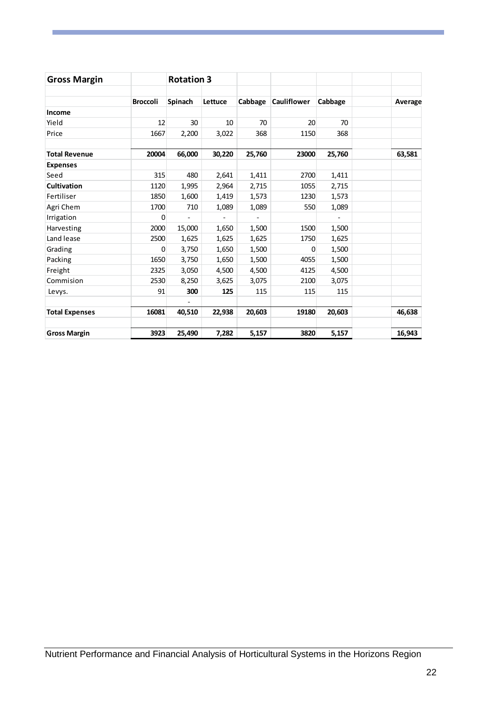| <b>Gross Margin</b>   |                 | <b>Rotation 3</b> |         |         |                    |         |         |
|-----------------------|-----------------|-------------------|---------|---------|--------------------|---------|---------|
|                       | <b>Broccoli</b> | Spinach           | Lettuce | Cabbage | <b>Cauliflower</b> | Cabbage | Average |
| Income                |                 |                   |         |         |                    |         |         |
| Yield                 | 12              | 30                | 10      | 70      | 20                 | 70      |         |
| Price                 | 1667            | 2,200             | 3,022   | 368     | 1150               | 368     |         |
| <b>Total Revenue</b>  | 20004           | 66,000            | 30,220  | 25,760  | 23000              | 25,760  | 63,581  |
| <b>Expenses</b>       |                 |                   |         |         |                    |         |         |
| Seed                  | 315             | 480               | 2,641   | 1,411   | 2700               | 1,411   |         |
| <b>Cultivation</b>    | 1120            | 1,995             | 2,964   | 2,715   | 1055               | 2,715   |         |
| Fertiliser            | 1850            | 1,600             | 1,419   | 1,573   | 1230               | 1,573   |         |
| Agri Chem             | 1700            | 710               | 1,089   | 1,089   | 550                | 1,089   |         |
| Irrigation            | 0               | $\overline{a}$    |         |         |                    |         |         |
| Harvesting            | 2000            | 15,000            | 1,650   | 1,500   | 1500               | 1,500   |         |
| Land lease            | 2500            | 1,625             | 1,625   | 1,625   | 1750               | 1,625   |         |
| Grading               | 0               | 3,750             | 1,650   | 1,500   | 0                  | 1,500   |         |
| Packing               | 1650            | 3,750             | 1,650   | 1,500   | 4055               | 1,500   |         |
| Freight               | 2325            | 3,050             | 4,500   | 4,500   | 4125               | 4,500   |         |
| Commision             | 2530            | 8,250             | 3,625   | 3,075   | 2100               | 3,075   |         |
| Levys.                | 91              | 300               | 125     | 115     | 115                | 115     |         |
| <b>Total Expenses</b> | 16081           | 40,510            | 22,938  | 20,603  | 19180              | 20,603  | 46,638  |
| <b>Gross Margin</b>   | 3923            | 25,490            | 7,282   | 5,157   | 3820               | 5,157   | 16,943  |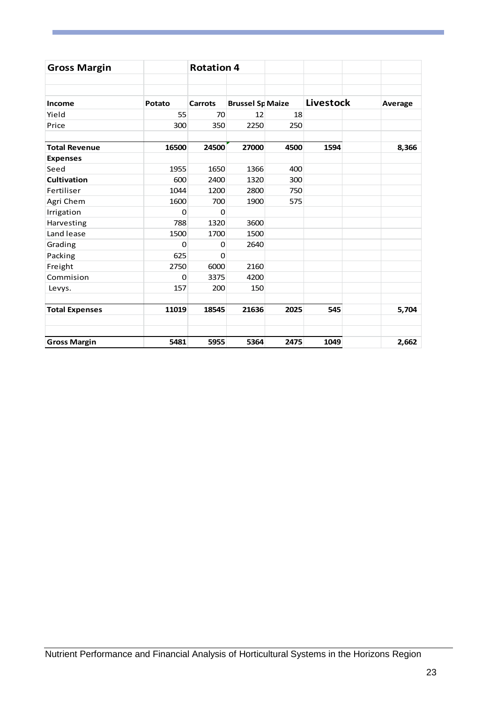| <b>Gross Margin</b>   |        | <b>Rotation 4</b> |                         |      |                  |         |
|-----------------------|--------|-------------------|-------------------------|------|------------------|---------|
|                       |        |                   |                         |      |                  |         |
| Income                | Potato | <b>Carrots</b>    | <b>Brussel Sp Maize</b> |      | <b>Livestock</b> | Average |
| Yield                 | 55     | 70                | 12                      | 18   |                  |         |
| Price                 | 300    | 350               | 2250                    | 250  |                  |         |
| <b>Total Revenue</b>  | 16500  | 24500             | 27000                   | 4500 | 1594             | 8,366   |
| <b>Expenses</b>       |        |                   |                         |      |                  |         |
| Seed                  | 1955   | 1650              | 1366                    | 400  |                  |         |
| <b>Cultivation</b>    | 600    | 2400              | 1320                    | 300  |                  |         |
| Fertiliser            | 1044   | 1200              | 2800                    | 750  |                  |         |
| Agri Chem             | 1600   | 700               | 1900                    | 575  |                  |         |
| Irrigation            | 0      | $\Omega$          |                         |      |                  |         |
| Harvesting            | 788    | 1320              | 3600                    |      |                  |         |
| Land lease            | 1500   | 1700              | 1500                    |      |                  |         |
| Grading               | 0      | 0                 | 2640                    |      |                  |         |
| Packing               | 625    | $\Omega$          |                         |      |                  |         |
| Freight               | 2750   | 6000              | 2160                    |      |                  |         |
| Commision             | 0      | 3375              | 4200                    |      |                  |         |
| Levys.                | 157    | 200               | 150                     |      |                  |         |
| <b>Total Expenses</b> | 11019  | 18545             | 21636                   | 2025 | 545              | 5,704   |
| <b>Gross Margin</b>   | 5481   | 5955              | 5364                    | 2475 | 1049             | 2,662   |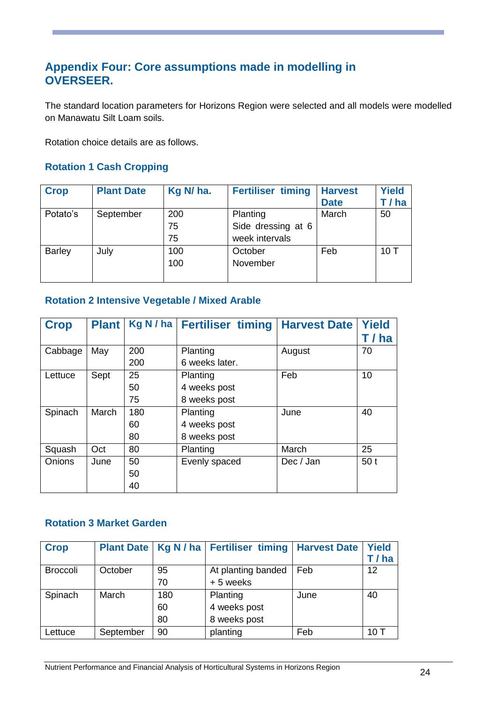## <span id="page-24-0"></span>**Appendix Four: Core assumptions made in modelling in OVERSEER.**

The standard location parameters for Horizons Region were selected and all models were modelled on Manawatu Silt Loam soils.

Rotation choice details are as follows.

## **Rotation 1 Cash Cropping**

| <b>Crop</b>   | <b>Plant Date</b> | Kg N/ ha. | <b>Fertiliser timing</b> | <b>Harvest</b> | <b>Yield</b> |
|---------------|-------------------|-----------|--------------------------|----------------|--------------|
|               |                   |           |                          | <b>Date</b>    | T / ha       |
| Potato's      | September         | 200       | Planting                 | March          | 50           |
|               |                   | 75        | Side dressing at 6       |                |              |
|               |                   | 75        | week intervals           |                |              |
| <b>Barley</b> | July              | 100       | October                  | Feb            | 10T          |
|               |                   | 100       | November                 |                |              |
|               |                   |           |                          |                |              |

## **Rotation 2 Intensive Vegetable / Mixed Arable**

| <b>Crop</b> | <b>Plant</b> |     | Kg N / ha   Fertiliser timing | <b>Harvest Date</b> | <b>Yield</b>    |
|-------------|--------------|-----|-------------------------------|---------------------|-----------------|
|             |              |     |                               |                     | T / ha          |
| Cabbage     | May          | 200 | Planting                      | August              | 70              |
|             |              | 200 | 6 weeks later.                |                     |                 |
| Lettuce     | Sept         | 25  | Planting                      | Feb                 | 10              |
|             |              | 50  | 4 weeks post                  |                     |                 |
|             |              | 75  | 8 weeks post                  |                     |                 |
| Spinach     | March        | 180 | Planting                      | June                | 40              |
|             |              | 60  | 4 weeks post                  |                     |                 |
|             |              | 80  | 8 weeks post                  |                     |                 |
| Squash      | Oct          | 80  | Planting                      | March               | 25              |
| Onions      | June         | 50  | Evenly spaced                 | Dec / Jan           | 50 <sub>t</sub> |
|             |              | 50  |                               |                     |                 |
|             |              | 40  |                               |                     |                 |

## **Rotation 3 Market Garden**

| <b>Crop</b>     | <b>Plant Date</b> | Kg N/ha | <b>Fertiliser timing</b> | <b>Harvest Date</b> | <b>Yield</b><br>T / ha |
|-----------------|-------------------|---------|--------------------------|---------------------|------------------------|
| <b>Broccoli</b> | October           | 95      | At planting banded       | Feb                 | 12                     |
|                 |                   | 70      | +5 weeks                 |                     |                        |
| Spinach         | March             | 180     | Planting                 | June                | 40                     |
|                 |                   | 60      | 4 weeks post             |                     |                        |
|                 |                   | 80      | 8 weeks post             |                     |                        |
| Lettuce         | September         | 90      | planting                 | Feb                 | 10T                    |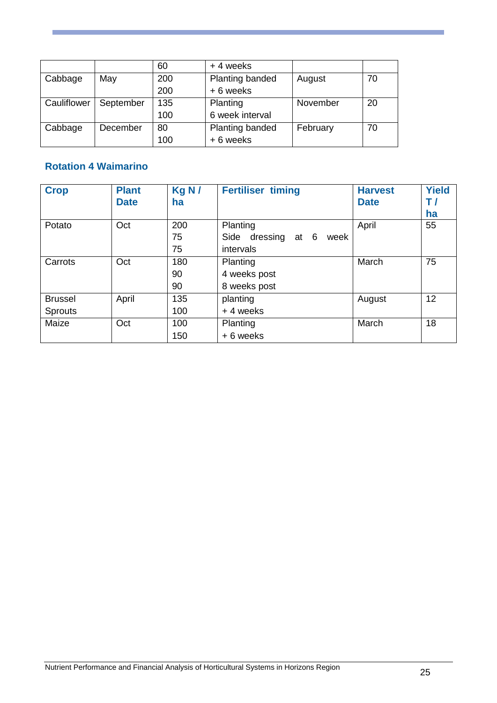|             |           | 60  | +4 weeks        |          |    |
|-------------|-----------|-----|-----------------|----------|----|
| Cabbage     | May       | 200 | Planting banded | August   | 70 |
|             |           | 200 | +6 weeks        |          |    |
| Cauliflower | September | 135 | Planting        | November | 20 |
|             |           | 100 | 6 week interval |          |    |
| Cabbage     | December  | 80  | Planting banded | February | 70 |
|             |           | 100 | +6 weeks        |          |    |

## **Rotation 4 Waimarino**

| <b>Crop</b>    | <b>Plant</b><br><b>Date</b> | Kg N/<br>ha | <b>Fertiliser timing</b>              | <b>Harvest</b><br><b>Date</b> | <b>Yield</b><br>T/<br>ha |
|----------------|-----------------------------|-------------|---------------------------------------|-------------------------------|--------------------------|
| Potato         | Oct                         | 200         | Planting                              | April                         | 55                       |
|                |                             | 75          | dressing<br>Side<br>- 6<br>week<br>at |                               |                          |
|                |                             | 75          | intervals                             |                               |                          |
| Carrots        | Oct                         | 180         | Planting                              | March                         | 75                       |
|                |                             | 90          | 4 weeks post                          |                               |                          |
|                |                             | 90          | 8 weeks post                          |                               |                          |
| <b>Brussel</b> | April                       | 135         | planting                              | August                        | 12                       |
| <b>Sprouts</b> |                             | 100         | +4 weeks                              |                               |                          |
| Maize          | Oct                         | 100         | Planting                              | March                         | 18                       |
|                |                             | 150         | + 6 weeks                             |                               |                          |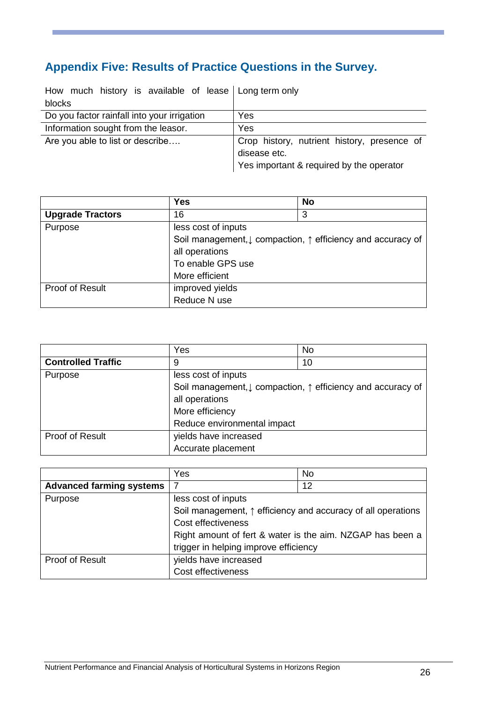# <span id="page-26-0"></span>**Appendix Five: Results of Practice Questions in the Survey.**

| How much history is available of lease Long term only |                                             |
|-------------------------------------------------------|---------------------------------------------|
| blocks                                                |                                             |
| Do you factor rainfall into your irrigation           | Yes                                         |
| Information sought from the leasor.                   | Yes                                         |
| Are you able to list or describe                      | Crop history, nutrient history, presence of |
|                                                       | disease etc.                                |
|                                                       | Yes important & required by the operator    |

|                         | <b>Yes</b>                                                             | <b>No</b> |
|-------------------------|------------------------------------------------------------------------|-----------|
| <b>Upgrade Tractors</b> | 16                                                                     | 3         |
| Purpose                 | less cost of inputs                                                    |           |
|                         | Soil management, $\downarrow$ compaction, ↑ efficiency and accuracy of |           |
|                         | all operations                                                         |           |
|                         | To enable GPS use                                                      |           |
|                         | More efficient                                                         |           |
| Proof of Result         | improved yields                                                        |           |
|                         | Reduce N use                                                           |           |

|                           | Yes                                                                    | No |
|---------------------------|------------------------------------------------------------------------|----|
| <b>Controlled Traffic</b> | 9                                                                      | 10 |
| Purpose                   | less cost of inputs                                                    |    |
|                           | Soil management, $\downarrow$ compaction, ↑ efficiency and accuracy of |    |
|                           | all operations                                                         |    |
|                           | More efficiency                                                        |    |
|                           | Reduce environmental impact                                            |    |
| Proof of Result           | yields have increased                                                  |    |
|                           | Accurate placement                                                     |    |

|                                 | Yes                                                          | No |
|---------------------------------|--------------------------------------------------------------|----|
| <b>Advanced farming systems</b> | 7                                                            | 12 |
| Purpose                         | less cost of inputs                                          |    |
|                                 | Soil management, ↑ efficiency and accuracy of all operations |    |
|                                 | Cost effectiveness                                           |    |
|                                 | Right amount of fert & water is the aim. NZGAP has been a    |    |
|                                 | trigger in helping improve efficiency                        |    |
| Proof of Result                 | yields have increased                                        |    |
|                                 | Cost effectiveness                                           |    |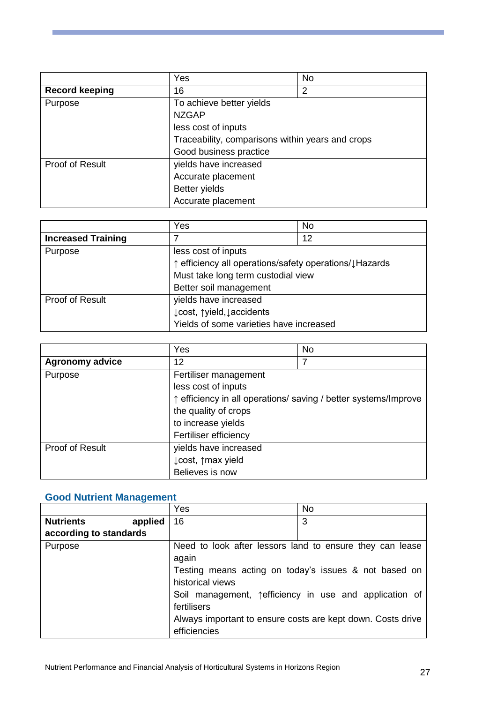|                       | Yes                                              | No |
|-----------------------|--------------------------------------------------|----|
| <b>Record keeping</b> | 16                                               | 2  |
| Purpose               | To achieve better yields<br><b>NZGAP</b>         |    |
|                       | less cost of inputs                              |    |
|                       | Traceability, comparisons within years and crops |    |
|                       | Good business practice                           |    |
| Proof of Result       | yields have increased                            |    |
|                       | Accurate placement                               |    |
|                       | <b>Better yields</b>                             |    |
|                       | Accurate placement                               |    |

|                           | Yes                                                    | No |
|---------------------------|--------------------------------------------------------|----|
| <b>Increased Training</b> |                                                        | 12 |
| Purpose                   | less cost of inputs                                    |    |
|                           | ↑ efficiency all operations/safety operations/↓Hazards |    |
|                           | Must take long term custodial view                     |    |
|                           | Better soil management                                 |    |
| Proof of Result           | yields have increased                                  |    |
|                           | ↓ cost, ↑ yield, ↓ accidents                           |    |
|                           | Yields of some varieties have increased                |    |

|                        | Yes                   | <b>No</b>                                                       |
|------------------------|-----------------------|-----------------------------------------------------------------|
| <b>Agronomy advice</b> | 12                    |                                                                 |
| Purpose                | Fertiliser management |                                                                 |
|                        | less cost of inputs   |                                                                 |
|                        |                       | ↑ efficiency in all operations/ saving / better systems/Improve |
|                        | the quality of crops  |                                                                 |
|                        | to increase yields    |                                                                 |
|                        | Fertiliser efficiency |                                                                 |
| Proof of Result        | yields have increased |                                                                 |
|                        | ↓ cost, ↑ max yield   |                                                                 |
|                        | Believes is now       |                                                                 |

## **Good Nutrient Management**

|                             | Yes              | <b>No</b>                                                   |
|-----------------------------|------------------|-------------------------------------------------------------|
| <b>Nutrients</b><br>applied | 16               | 3                                                           |
| according to standards      |                  |                                                             |
| Purpose                     |                  | Need to look after lessors land to ensure they can lease    |
|                             | again            |                                                             |
|                             |                  | Testing means acting on today's issues & not based on       |
|                             | historical views |                                                             |
|                             |                  | Soil management, sefficiency in use and application of      |
|                             | fertilisers      |                                                             |
|                             |                  | Always important to ensure costs are kept down. Costs drive |
|                             | efficiencies     |                                                             |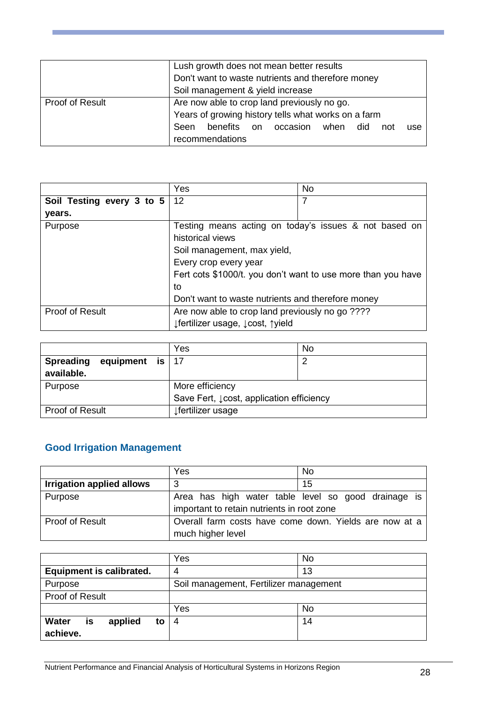|                 | Lush growth does not mean better results<br>Don't want to waste nutrients and therefore money<br>Soil management & yield increase                                            |
|-----------------|------------------------------------------------------------------------------------------------------------------------------------------------------------------------------|
| Proof of Result | Are now able to crop land previously no go.<br>Years of growing history tells what works on a farm<br>benefits on occasion when did<br>Seen<br>not<br>use<br>recommendations |

|                                     | Yes                                                          | <b>No</b>                                             |
|-------------------------------------|--------------------------------------------------------------|-------------------------------------------------------|
| Soil Testing every 3 to $5 \mid 12$ |                                                              |                                                       |
| years.                              |                                                              |                                                       |
| Purpose                             |                                                              | Testing means acting on today's issues & not based on |
|                                     | historical views                                             |                                                       |
|                                     | Soil management, max yield,                                  |                                                       |
|                                     | Every crop every year                                        |                                                       |
|                                     | Fert cots \$1000/t. you don't want to use more than you have |                                                       |
|                                     | to                                                           |                                                       |
|                                     | Don't want to waste nutrients and therefore money            |                                                       |
| Proof of Result                     | Are now able to crop land previously no go ????              |                                                       |
|                                     | ↓ fertilizer usage, ↓ cost, ↑ yield                          |                                                       |

|                                       | Yes                                      | No |
|---------------------------------------|------------------------------------------|----|
| <b>Spreading</b><br>equipment is $17$ |                                          | n  |
| available.                            |                                          |    |
| Purpose                               | More efficiency                          |    |
|                                       | Save Fert, Lcost, application efficiency |    |
| Proof of Result                       | ⊥fertilizer usage                        |    |

# **Good Irrigation Management**

|                           | Yes                                                                                               | <b>No</b> |
|---------------------------|---------------------------------------------------------------------------------------------------|-----------|
| Irrigation applied allows | 3                                                                                                 | 15        |
| Purpose                   | Area has high water table level so good drainage is<br>important to retain nutrients in root zone |           |
| Proof of Result           | Overall farm costs have come down. Yields are now at a<br>much higher level                       |           |

|                                                 | Yes                                    | No |
|-------------------------------------------------|----------------------------------------|----|
| <b>Equipment is calibrated.</b>                 | 4                                      | 13 |
| Purpose                                         | Soil management, Fertilizer management |    |
| Proof of Result                                 |                                        |    |
|                                                 | Yes                                    | No |
| <b>Water</b><br>applied<br>is<br>to<br>achieve. | $\overline{A}$                         | 14 |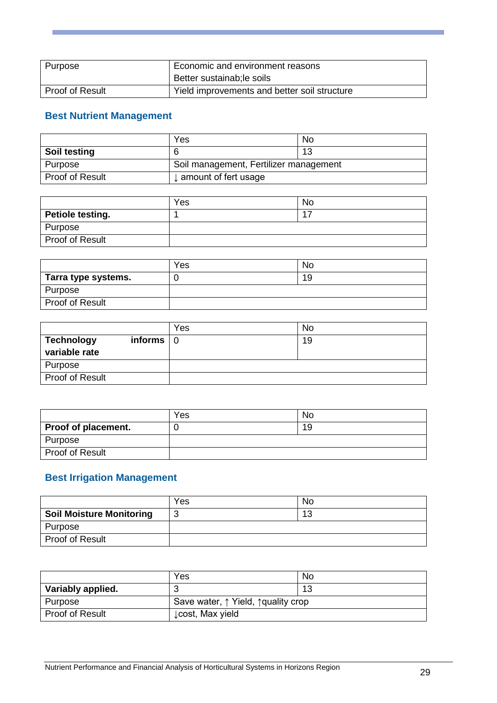| Purpose                | Economic and environment reasons<br>Better sustainab; le soils |
|------------------------|----------------------------------------------------------------|
| <b>Proof of Result</b> | Yield improvements and better soil structure                   |

## **Best Nutrient Management**

|                 | Yes                                    | No |
|-----------------|----------------------------------------|----|
| Soil testing    |                                        | 12 |
| Purpose         | Soil management, Fertilizer management |    |
| Proof of Result | $\downarrow$ amount of fert usage      |    |

|                         | Yes | No |
|-------------------------|-----|----|
| <b>Petiole testing.</b> |     |    |
| Purpose                 |     |    |
| Proof of Result         |     |    |

|                        | Yes | No |
|------------------------|-----|----|
| Tarra type systems.    |     | 19 |
| Purpose                |     |    |
| <b>Proof of Result</b> |     |    |

|                                    |                         | Yes | No |
|------------------------------------|-------------------------|-----|----|
| <b>Technology</b><br>variable rate | informs $\vert 0 \vert$ |     | 19 |
| Purpose                            |                         |     |    |
| Proof of Result                    |                         |     |    |

|                     | Yes | No |
|---------------------|-----|----|
| Proof of placement. |     | 19 |
| Purpose             |     |    |
| Proof of Result     |     |    |

## **Best Irrigation Management**

|                                 | Yes | No |
|---------------------------------|-----|----|
| <b>Soil Moisture Monitoring</b> | ◡   | 13 |
| Purpose                         |     |    |
| Proof of Result                 |     |    |

|                   | Yes                                                   | No |
|-------------------|-------------------------------------------------------|----|
| Variably applied. |                                                       | 13 |
| Purpose           | Save water, $\uparrow$ Yield, $\uparrow$ quality crop |    |
| Proof of Result   | Lcost, Max yield                                      |    |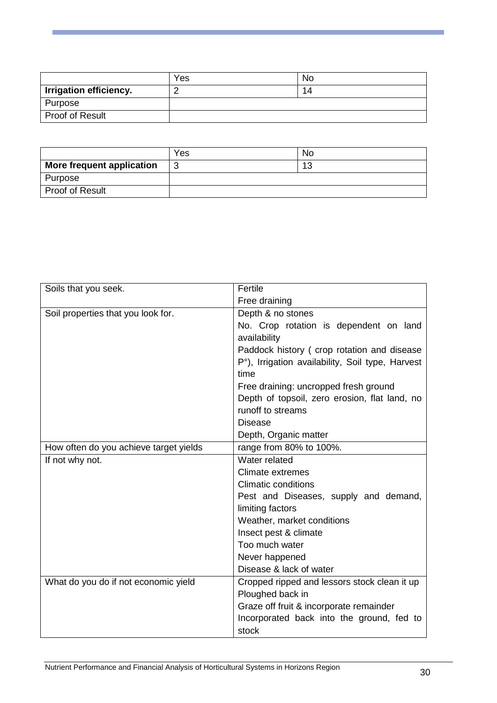|                               | Yes | No  |
|-------------------------------|-----|-----|
| <b>Irrigation efficiency.</b> |     | 14. |
| Purpose                       |     |     |
| Proof of Result               |     |     |

|                           | Yes    | No        |
|---------------------------|--------|-----------|
| More frequent application | ◠<br>ن | 12<br>ں ا |
| Purpose                   |        |           |
| Proof of Result           |        |           |

| Soils that you seek.                   | Fertile                                          |
|----------------------------------------|--------------------------------------------------|
|                                        | Free draining                                    |
| Soil properties that you look for.     | Depth & no stones                                |
|                                        | No. Crop rotation is dependent on land           |
|                                        | availability                                     |
|                                        | Paddock history (crop rotation and disease       |
|                                        | P°), Irrigation availability, Soil type, Harvest |
|                                        | time                                             |
|                                        | Free draining: uncropped fresh ground            |
|                                        | Depth of topsoil, zero erosion, flat land, no    |
|                                        | runoff to streams                                |
|                                        | <b>Disease</b>                                   |
|                                        | Depth, Organic matter                            |
| How often do you achieve target yields | range from 80% to 100%.                          |
| If not why not.                        | Water related                                    |
|                                        | <b>Climate extremes</b>                          |
|                                        | <b>Climatic conditions</b>                       |
|                                        | Pest and Diseases, supply and demand,            |
|                                        | limiting factors                                 |
|                                        | Weather, market conditions                       |
|                                        | Insect pest & climate                            |
|                                        | Too much water                                   |
|                                        | Never happened                                   |
|                                        | Disease & lack of water                          |
| What do you do if not economic yield   | Cropped ripped and lessors stock clean it up     |
|                                        | Ploughed back in                                 |
|                                        | Graze off fruit & incorporate remainder          |
|                                        | Incorporated back into the ground, fed to        |
|                                        | stock                                            |